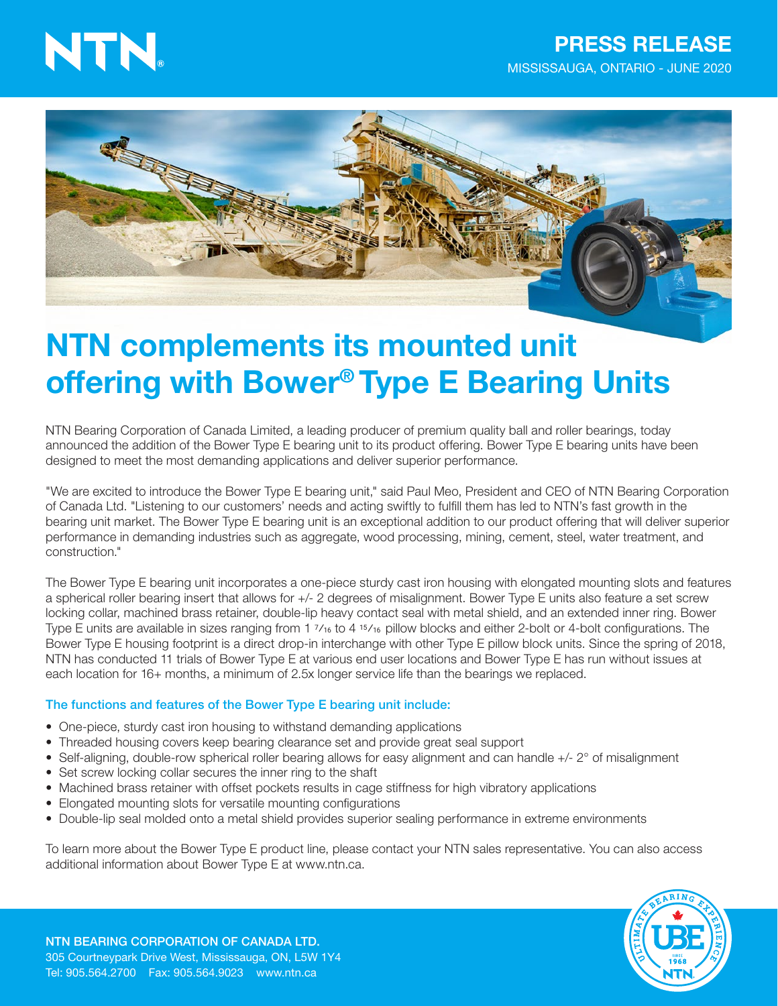# NTN.



# NTN complements its mounted unit offering with Bower® Type E Bearing Units

NTN Bearing Corporation of Canada Limited, a leading producer of premium quality ball and roller bearings, today announced the addition of the Bower Type E bearing unit to its product offering. Bower Type E bearing units have been designed to meet the most demanding applications and deliver superior performance.

"We are excited to introduce the Bower Type E bearing unit," said Paul Meo, President and CEO of NTN Bearing Corporation of Canada Ltd. "Listening to our customers' needs and acting swiftly to fulfill them has led to NTN's fast growth in the bearing unit market. The Bower Type E bearing unit is an exceptional addition to our product offering that will deliver superior performance in demanding industries such as aggregate, wood processing, mining, cement, steel, water treatment, and construction."

The Bower Type E bearing unit incorporates a one-piece sturdy cast iron housing with elongated mounting slots and features a spherical roller bearing insert that allows for +/- 2 degrees of misalignment. Bower Type E units also feature a set screw locking collar, machined brass retainer, double-lip heavy contact seal with metal shield, and an extended inner ring. Bower Type E units are available in sizes ranging from 1 7⁄16 to 4 15⁄16 pillow blocks and either 2-bolt or 4-bolt configurations. The Bower Type E housing footprint is a direct drop-in interchange with other Type E pillow block units. Since the spring of 2018, NTN has conducted 11 trials of Bower Type E at various end user locations and Bower Type E has run without issues at each location for 16+ months, a minimum of 2.5x longer service life than the bearings we replaced.

#### The functions and features of the Bower Type E bearing unit include:

- One-piece, sturdy cast iron housing to withstand demanding applications
- Threaded housing covers keep bearing clearance set and provide great seal support
- Self-aligning, double-row spherical roller bearing allows for easy alignment and can handle +/- 2° of misalignment
- Set screw locking collar secures the inner ring to the shaft
- Machined brass retainer with offset pockets results in cage stiffness for high vibratory applications
- Elongated mounting slots for versatile mounting configurations
- Double-lip seal molded onto a metal shield provides superior sealing performance in extreme environments

To learn more about the Bower Type E product line, please contact your NTN sales representative. You can also access additional information about Bower Type E at www.ntn.ca.



NTN BEARING CORPORATION OF CANADA LTD. 305 Courtneypark Drive West, Mississauga, ON, L5W 1Y4 Tel: 905.564.2700 Fax: 905.564.9023 www.ntn.ca